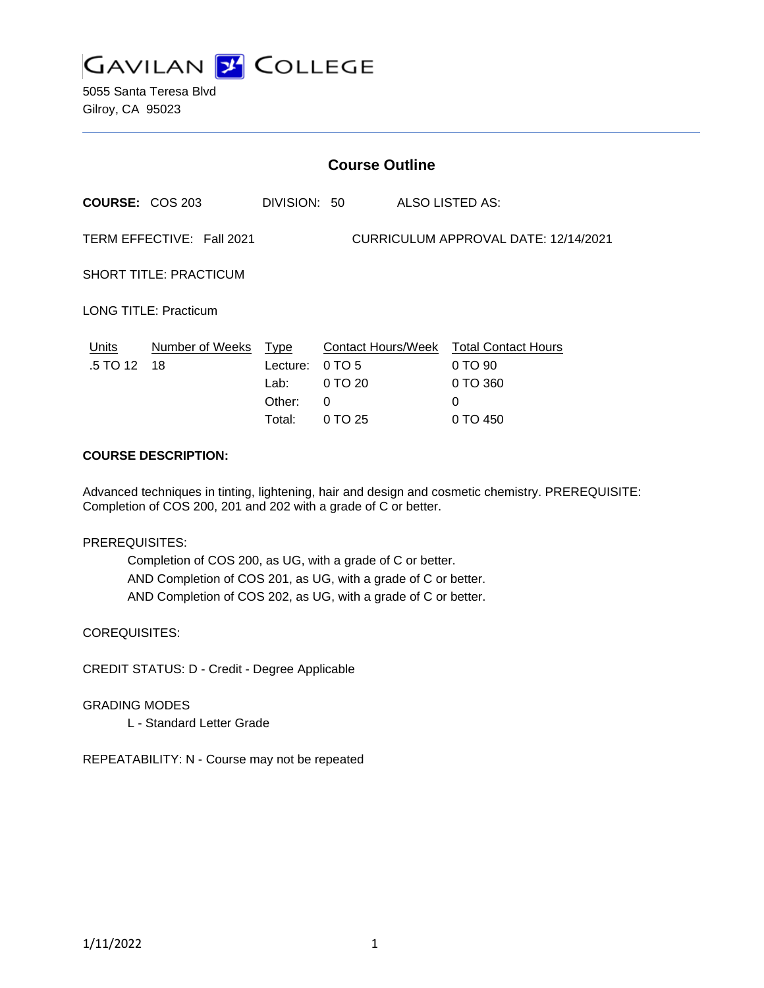

5055 Santa Teresa Blvd Gilroy, CA 95023

|                               | <b>Course Outline</b>     |                                                     |                                                         |  |                                                                    |
|-------------------------------|---------------------------|-----------------------------------------------------|---------------------------------------------------------|--|--------------------------------------------------------------------|
| COURSE: COS 203               |                           | DIVISION: 50                                        |                                                         |  | ALSO LISTED AS:                                                    |
|                               | TERM EFFECTIVE: Fall 2021 |                                                     |                                                         |  | CURRICULUM APPROVAL DATE: 12/14/2021                               |
| <b>SHORT TITLE: PRACTICUM</b> |                           |                                                     |                                                         |  |                                                                    |
| <b>LONG TITLE: Practicum</b>  |                           |                                                     |                                                         |  |                                                                    |
| Units<br>.5 TO 12             | Number of Weeks<br>18     | <b>Type</b><br>Lecture:<br>Lab:<br>Other:<br>Total: | Contact Hours/Week<br>0 TO 5<br>0 TO 20<br>0<br>0 TO 25 |  | <b>Total Contact Hours</b><br>0 TO 90<br>0 TO 360<br>0<br>0 TO 450 |

#### **COURSE DESCRIPTION:**

Advanced techniques in tinting, lightening, hair and design and cosmetic chemistry. PREREQUISITE: Completion of COS 200, 201 and 202 with a grade of C or better.

PREREQUISITES:

Completion of COS 200, as UG, with a grade of C or better. AND Completion of COS 201, as UG, with a grade of C or better. AND Completion of COS 202, as UG, with a grade of C or better.

COREQUISITES:

CREDIT STATUS: D - Credit - Degree Applicable

GRADING MODES

L - Standard Letter Grade

REPEATABILITY: N - Course may not be repeated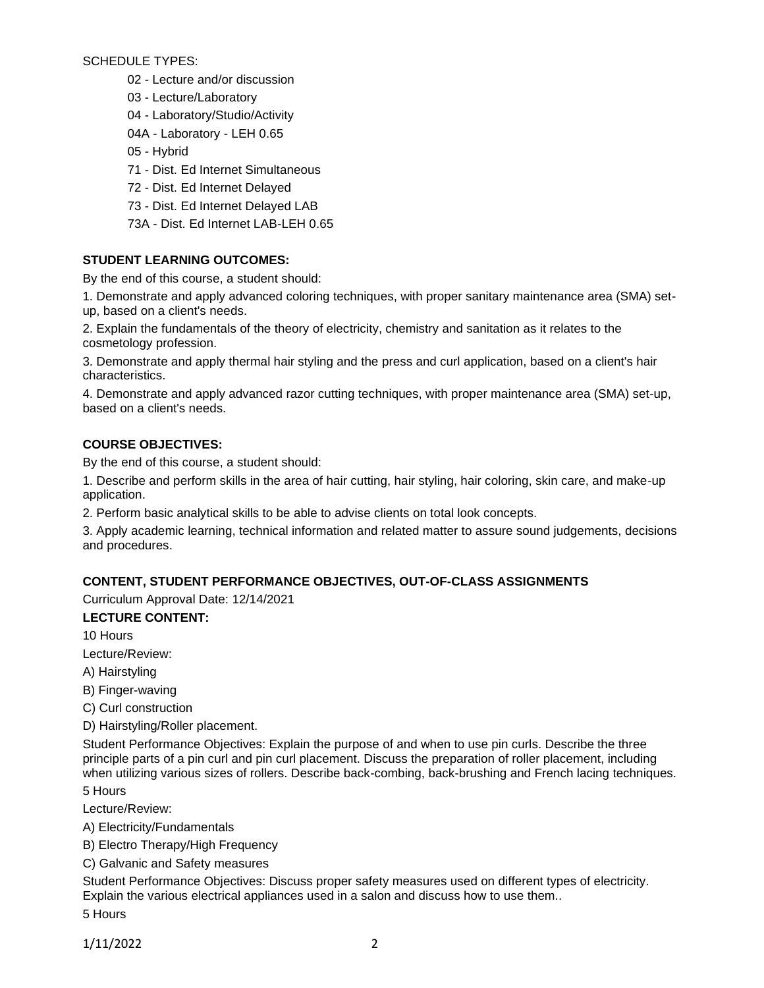SCHEDULE TYPES:

- 02 Lecture and/or discussion
- 03 Lecture/Laboratory
- 04 Laboratory/Studio/Activity
- 04A Laboratory LEH 0.65
- 05 Hybrid
- 71 Dist. Ed Internet Simultaneous
- 72 Dist. Ed Internet Delayed
- 73 Dist. Ed Internet Delayed LAB
- 73A Dist. Ed Internet LAB-LEH 0.65

# **STUDENT LEARNING OUTCOMES:**

By the end of this course, a student should:

1. Demonstrate and apply advanced coloring techniques, with proper sanitary maintenance area (SMA) setup, based on a client's needs.

2. Explain the fundamentals of the theory of electricity, chemistry and sanitation as it relates to the cosmetology profession.

3. Demonstrate and apply thermal hair styling and the press and curl application, based on a client's hair characteristics.

4. Demonstrate and apply advanced razor cutting techniques, with proper maintenance area (SMA) set-up, based on a client's needs.

## **COURSE OBJECTIVES:**

By the end of this course, a student should:

1. Describe and perform skills in the area of hair cutting, hair styling, hair coloring, skin care, and make-up application.

2. Perform basic analytical skills to be able to advise clients on total look concepts.

3. Apply academic learning, technical information and related matter to assure sound judgements, decisions and procedures.

## **CONTENT, STUDENT PERFORMANCE OBJECTIVES, OUT-OF-CLASS ASSIGNMENTS**

Curriculum Approval Date: 12/14/2021

## **LECTURE CONTENT:**

10 Hours

Lecture/Review:

A) Hairstyling

B) Finger-waving

C) Curl construction

D) Hairstyling/Roller placement.

Student Performance Objectives: Explain the purpose of and when to use pin curls. Describe the three principle parts of a pin curl and pin curl placement. Discuss the preparation of roller placement, including when utilizing various sizes of rollers. Describe back-combing, back-brushing and French lacing techniques.

5 Hours

Lecture/Review:

A) Electricity/Fundamentals

- B) Electro Therapy/High Frequency
- C) Galvanic and Safety measures

Student Performance Objectives: Discuss proper safety measures used on different types of electricity. Explain the various electrical appliances used in a salon and discuss how to use them..

5 Hours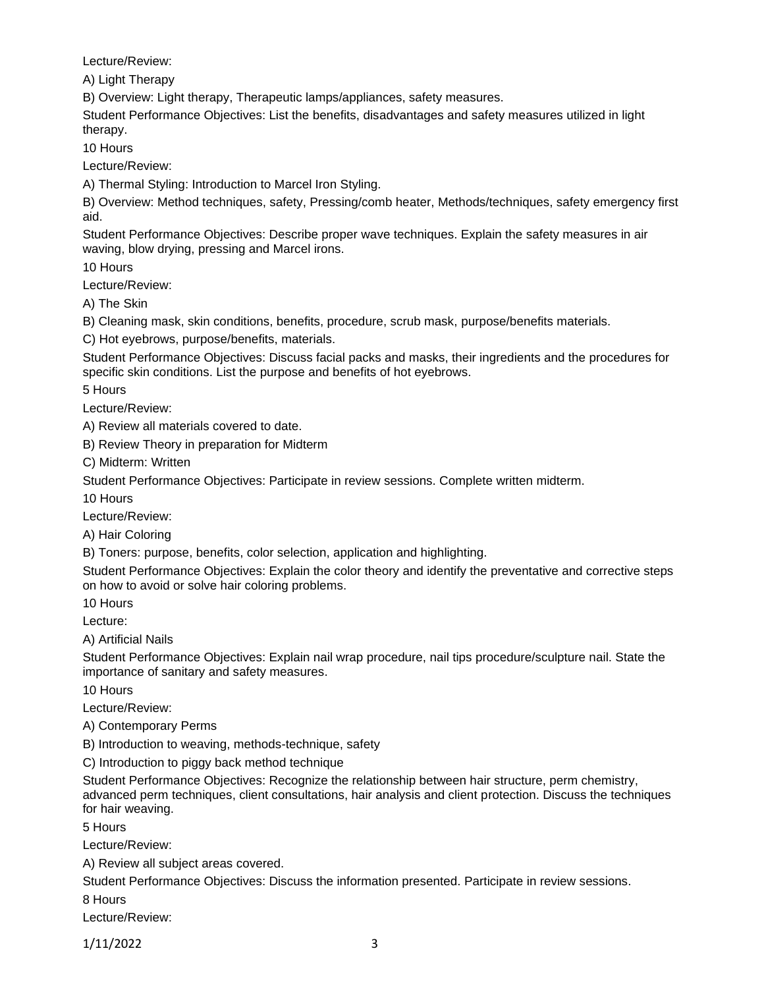Lecture/Review:

A) Light Therapy

B) Overview: Light therapy, Therapeutic lamps/appliances, safety measures.

Student Performance Objectives: List the benefits, disadvantages and safety measures utilized in light therapy.

10 Hours

Lecture/Review:

A) Thermal Styling: Introduction to Marcel Iron Styling.

B) Overview: Method techniques, safety, Pressing/comb heater, Methods/techniques, safety emergency first aid.

Student Performance Objectives: Describe proper wave techniques. Explain the safety measures in air waving, blow drying, pressing and Marcel irons.

10 Hours

Lecture/Review:

A) The Skin

B) Cleaning mask, skin conditions, benefits, procedure, scrub mask, purpose/benefits materials.

C) Hot eyebrows, purpose/benefits, materials.

Student Performance Objectives: Discuss facial packs and masks, their ingredients and the procedures for specific skin conditions. List the purpose and benefits of hot eyebrows.

5 Hours

Lecture/Review:

A) Review all materials covered to date.

B) Review Theory in preparation for Midterm

C) Midterm: Written

Student Performance Objectives: Participate in review sessions. Complete written midterm.

10 Hours

Lecture/Review:

A) Hair Coloring

B) Toners: purpose, benefits, color selection, application and highlighting.

Student Performance Objectives: Explain the color theory and identify the preventative and corrective steps on how to avoid or solve hair coloring problems.

10 Hours

Lecture:

A) Artificial Nails

Student Performance Objectives: Explain nail wrap procedure, nail tips procedure/sculpture nail. State the importance of sanitary and safety measures.

10 Hours

Lecture/Review:

A) Contemporary Perms

B) Introduction to weaving, methods-technique, safety

C) Introduction to piggy back method technique

Student Performance Objectives: Recognize the relationship between hair structure, perm chemistry, advanced perm techniques, client consultations, hair analysis and client protection. Discuss the techniques for hair weaving.

5 Hours

Lecture/Review:

A) Review all subject areas covered.

Student Performance Objectives: Discuss the information presented. Participate in review sessions.

8 Hours

Lecture/Review:

1/11/2022 3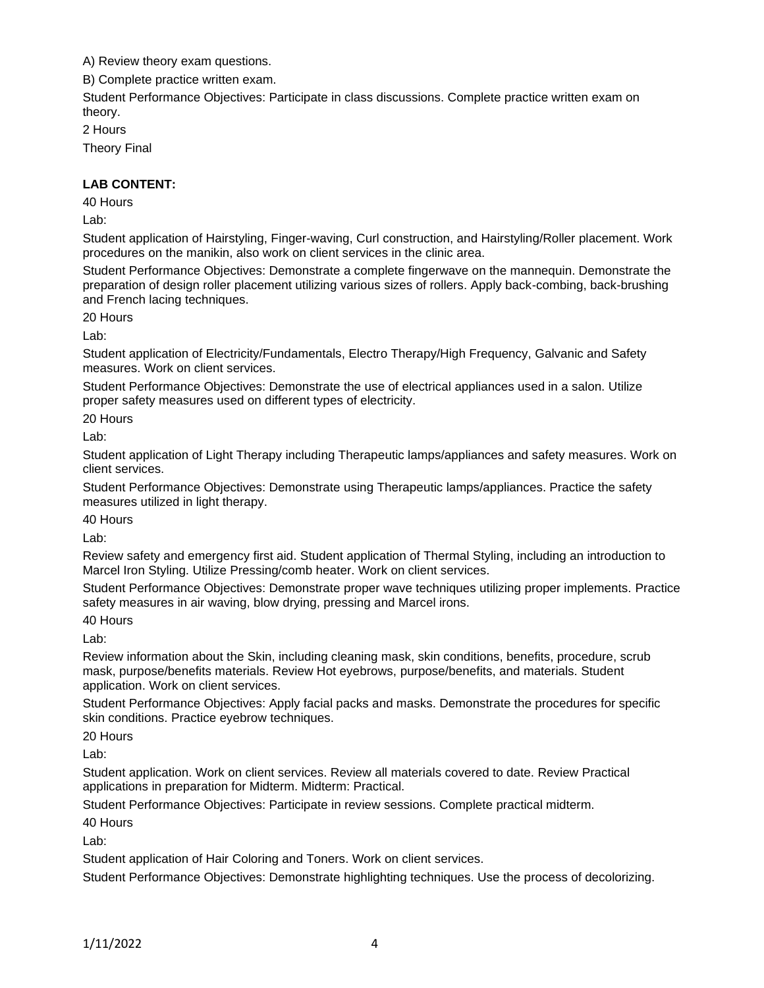A) Review theory exam questions.

B) Complete practice written exam.

Student Performance Objectives: Participate in class discussions. Complete practice written exam on theory.

2 Hours

Theory Final

### **LAB CONTENT:**

40 Hours

Lab:

Student application of Hairstyling, Finger-waving, Curl construction, and Hairstyling/Roller placement. Work procedures on the manikin, also work on client services in the clinic area.

Student Performance Objectives: Demonstrate a complete fingerwave on the mannequin. Demonstrate the preparation of design roller placement utilizing various sizes of rollers. Apply back-combing, back-brushing and French lacing techniques.

20 Hours

Lab:

Student application of Electricity/Fundamentals, Electro Therapy/High Frequency, Galvanic and Safety measures. Work on client services.

Student Performance Objectives: Demonstrate the use of electrical appliances used in a salon. Utilize proper safety measures used on different types of electricity.

20 Hours

Lab:

Student application of Light Therapy including Therapeutic lamps/appliances and safety measures. Work on client services.

Student Performance Objectives: Demonstrate using Therapeutic lamps/appliances. Practice the safety measures utilized in light therapy.

40 Hours

Lab:

Review safety and emergency first aid. Student application of Thermal Styling, including an introduction to Marcel Iron Styling. Utilize Pressing/comb heater. Work on client services.

Student Performance Objectives: Demonstrate proper wave techniques utilizing proper implements. Practice safety measures in air waving, blow drying, pressing and Marcel irons.

40 Hours

Lab:

Review information about the Skin, including cleaning mask, skin conditions, benefits, procedure, scrub mask, purpose/benefits materials. Review Hot eyebrows, purpose/benefits, and materials. Student application. Work on client services.

Student Performance Objectives: Apply facial packs and masks. Demonstrate the procedures for specific skin conditions. Practice eyebrow techniques.

20 Hours

Lab:

Student application. Work on client services. Review all materials covered to date. Review Practical applications in preparation for Midterm. Midterm: Practical.

Student Performance Objectives: Participate in review sessions. Complete practical midterm.

40 Hours

Lab:

Student application of Hair Coloring and Toners. Work on client services.

Student Performance Objectives: Demonstrate highlighting techniques. Use the process of decolorizing.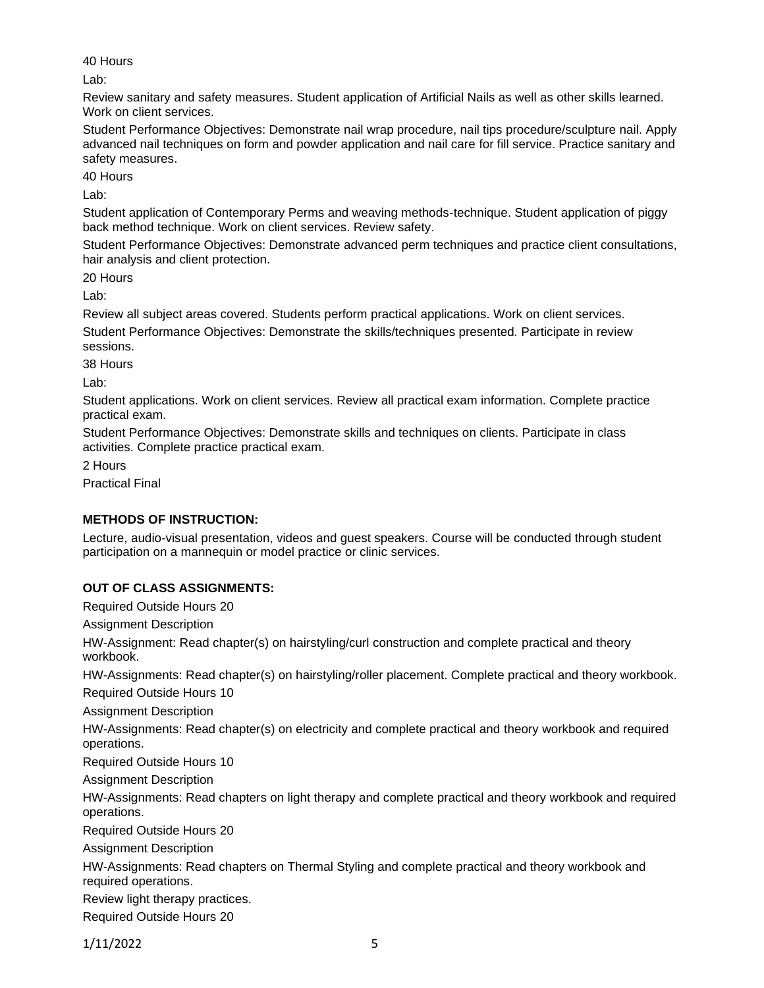40 Hours

Lab:

Review sanitary and safety measures. Student application of Artificial Nails as well as other skills learned. Work on client services.

Student Performance Objectives: Demonstrate nail wrap procedure, nail tips procedure/sculpture nail. Apply advanced nail techniques on form and powder application and nail care for fill service. Practice sanitary and safety measures.

40 Hours

Lab:

Student application of Contemporary Perms and weaving methods-technique. Student application of piggy back method technique. Work on client services. Review safety.

Student Performance Objectives: Demonstrate advanced perm techniques and practice client consultations, hair analysis and client protection.

20 Hours

Lab:

Review all subject areas covered. Students perform practical applications. Work on client services. Student Performance Objectives: Demonstrate the skills/techniques presented. Participate in review sessions.

38 Hours

Lab:

Student applications. Work on client services. Review all practical exam information. Complete practice practical exam.

Student Performance Objectives: Demonstrate skills and techniques on clients. Participate in class activities. Complete practice practical exam.

2 Hours

Practical Final

## **METHODS OF INSTRUCTION:**

Lecture, audio-visual presentation, videos and guest speakers. Course will be conducted through student participation on a mannequin or model practice or clinic services.

## **OUT OF CLASS ASSIGNMENTS:**

Required Outside Hours 20

Assignment Description

HW-Assignment: Read chapter(s) on hairstyling/curl construction and complete practical and theory workbook.

HW-Assignments: Read chapter(s) on hairstyling/roller placement. Complete practical and theory workbook.

Required Outside Hours 10

Assignment Description

HW-Assignments: Read chapter(s) on electricity and complete practical and theory workbook and required operations.

Required Outside Hours 10

Assignment Description

HW-Assignments: Read chapters on light therapy and complete practical and theory workbook and required operations.

Required Outside Hours 20

Assignment Description

HW-Assignments: Read chapters on Thermal Styling and complete practical and theory workbook and required operations.

Review light therapy practices.

Required Outside Hours 20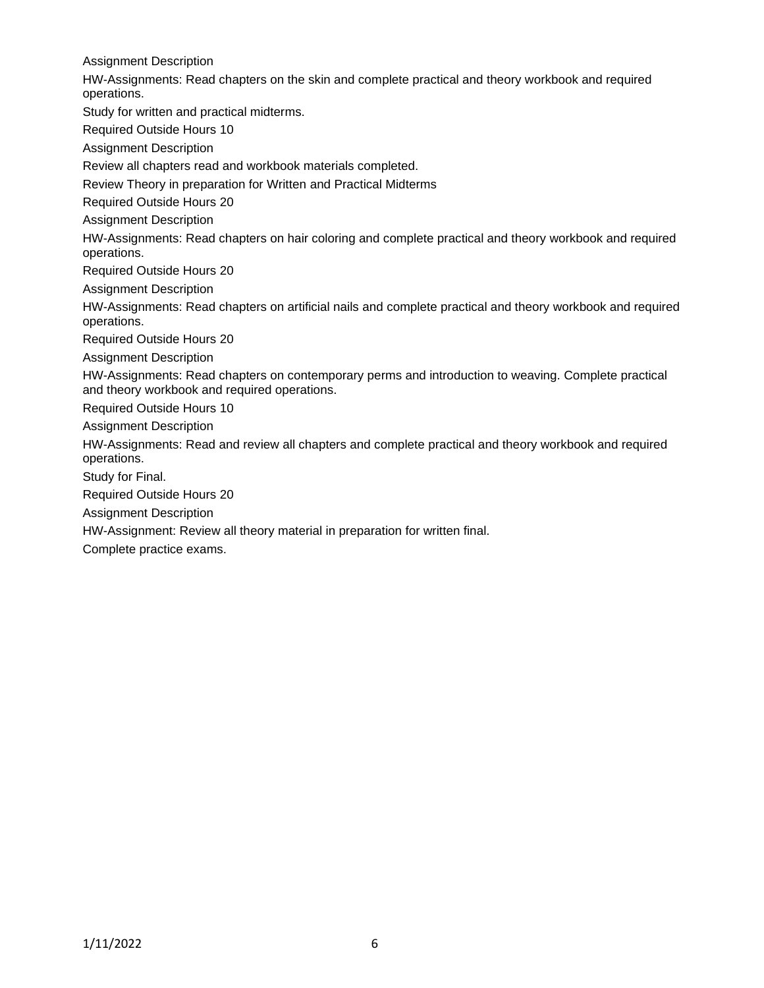Assignment Description HW-Assignments: Read chapters on the skin and complete practical and theory workbook and required operations. Study for written and practical midterms. Required Outside Hours 10 Assignment Description Review all chapters read and workbook materials completed. Review Theory in preparation for Written and Practical Midterms Required Outside Hours 20 Assignment Description HW-Assignments: Read chapters on hair coloring and complete practical and theory workbook and required operations. Required Outside Hours 20 Assignment Description HW-Assignments: Read chapters on artificial nails and complete practical and theory workbook and required operations. Required Outside Hours 20 Assignment Description HW-Assignments: Read chapters on contemporary perms and introduction to weaving. Complete practical and theory workbook and required operations. Required Outside Hours 10 Assignment Description HW-Assignments: Read and review all chapters and complete practical and theory workbook and required operations. Study for Final. Required Outside Hours 20 Assignment Description HW-Assignment: Review all theory material in preparation for written final.

Complete practice exams.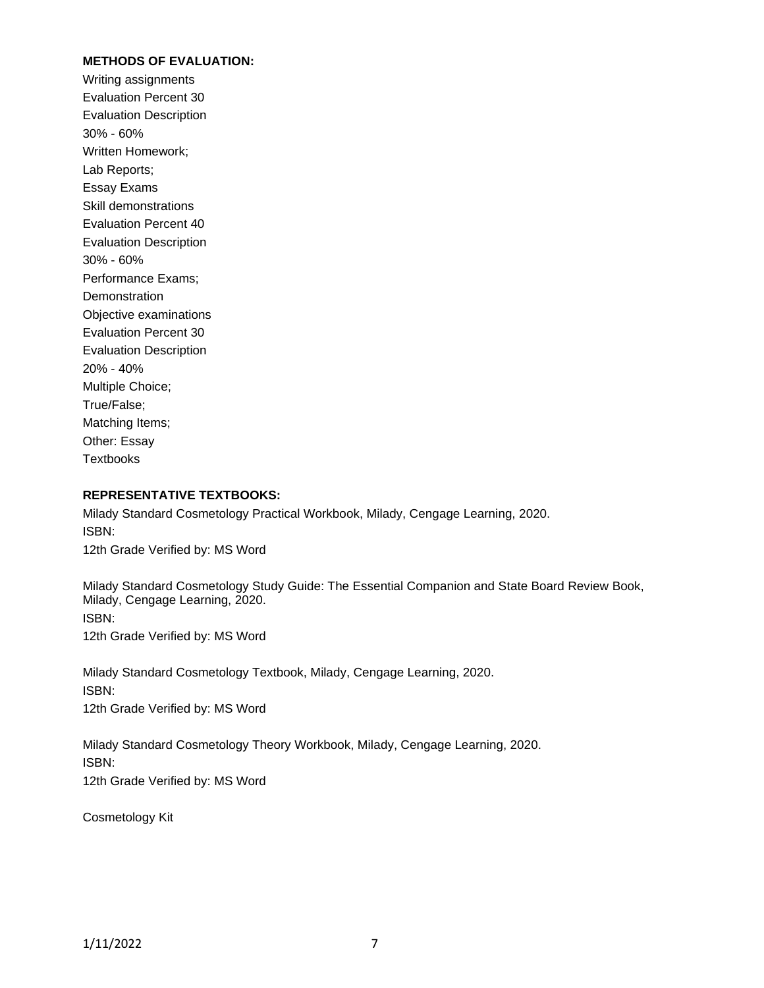#### **METHODS OF EVALUATION:**

Writing assignments Evaluation Percent 30 Evaluation Description 30% - 60% Written Homework; Lab Reports; Essay Exams Skill demonstrations Evaluation Percent 40 Evaluation Description 30% - 60% Performance Exams; **Demonstration** Objective examinations Evaluation Percent 30 Evaluation Description 20% - 40% Multiple Choice; True/False; Matching Items; Other: Essay **Textbooks** 

#### **REPRESENTATIVE TEXTBOOKS:**

Milady Standard Cosmetology Practical Workbook, Milady, Cengage Learning, 2020. ISBN: 12th Grade Verified by: MS Word

Milady Standard Cosmetology Study Guide: The Essential Companion and State Board Review Book, Milady, Cengage Learning, 2020. ISBN: 12th Grade Verified by: MS Word

Milady Standard Cosmetology Textbook, Milady, Cengage Learning, 2020. ISBN: 12th Grade Verified by: MS Word

Milady Standard Cosmetology Theory Workbook, Milady, Cengage Learning, 2020. ISBN: 12th Grade Verified by: MS Word

Cosmetology Kit